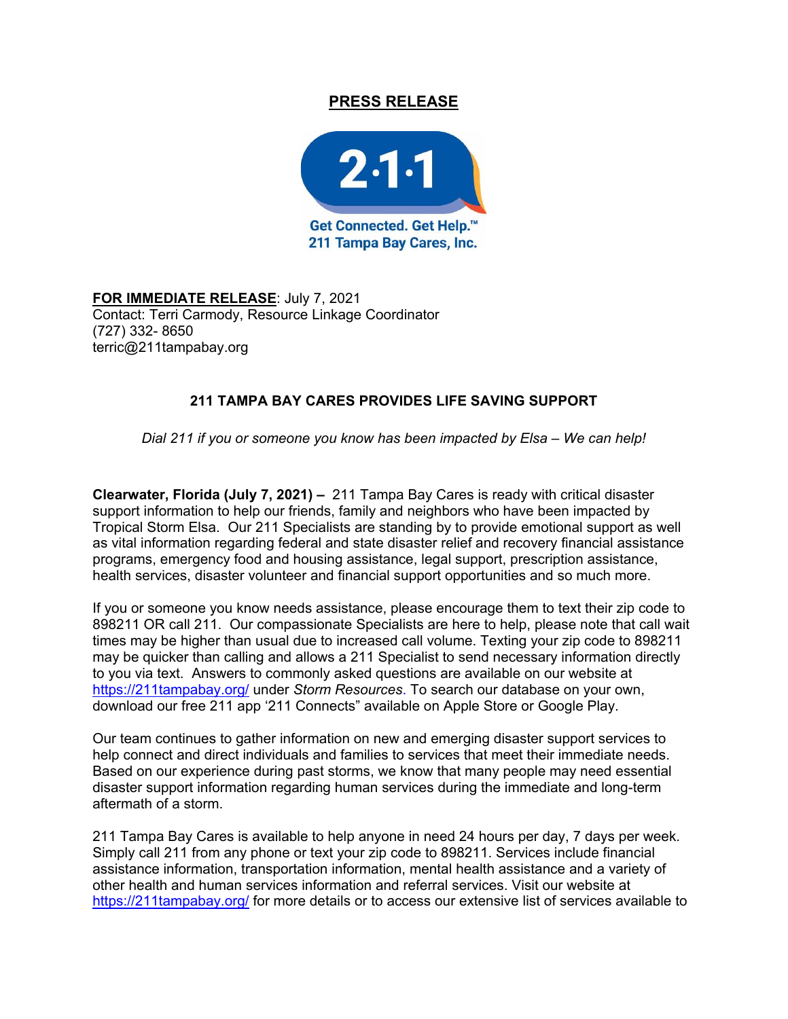## **PRESS RELEASE**



**FOR IMMEDIATE RELEASE**: July 7, 2021 Contact: Terri Carmody, Resource Linkage Coordinator (727) 332- 8650 terric@211tampabay.org

## **211 TAMPA BAY CARES PROVIDES LIFE SAVING SUPPORT**

*Dial 211 if you or someone you know has been impacted by Elsa – We can help!*

**Clearwater, Florida (July 7, 2021) –** 211 Tampa Bay Cares is ready with critical disaster support information to help our friends, family and neighbors who have been impacted by Tropical Storm Elsa. Our 211 Specialists are standing by to provide emotional support as well as vital information regarding federal and state disaster relief and recovery financial assistance programs, emergency food and housing assistance, legal support, prescription assistance, health services, disaster volunteer and financial support opportunities and so much more.

If you or someone you know needs assistance, please encourage them to text their zip code to 898211 OR call 211. Our compassionate Specialists are here to help, please note that call wait times may be higher than usual due to increased call volume. Texting your zip code to 898211 may be quicker than calling and allows a 211 Specialist to send necessary information directly to you via text. Answers to commonly asked questions are available on our website at <https://211tampabay.org/> under *Storm Resources*. To search our database on your own, download our free 211 app '211 Connects" available on Apple Store or Google Play.

Our team continues to gather information on new and emerging disaster support services to help connect and direct individuals and families to services that meet their immediate needs. Based on our experience during past storms, we know that many people may need essential disaster support information regarding human services during the immediate and long-term aftermath of a storm.

211 Tampa Bay Cares is available to help anyone in need 24 hours per day, 7 days per week. Simply call 211 from any phone or text your zip code to 898211. Services include financial assistance information, transportation information, mental health assistance and a variety of other health and human services information and referral services. Visit our website at <https://211tampabay.org/> for more details or to access our extensive list of services available to